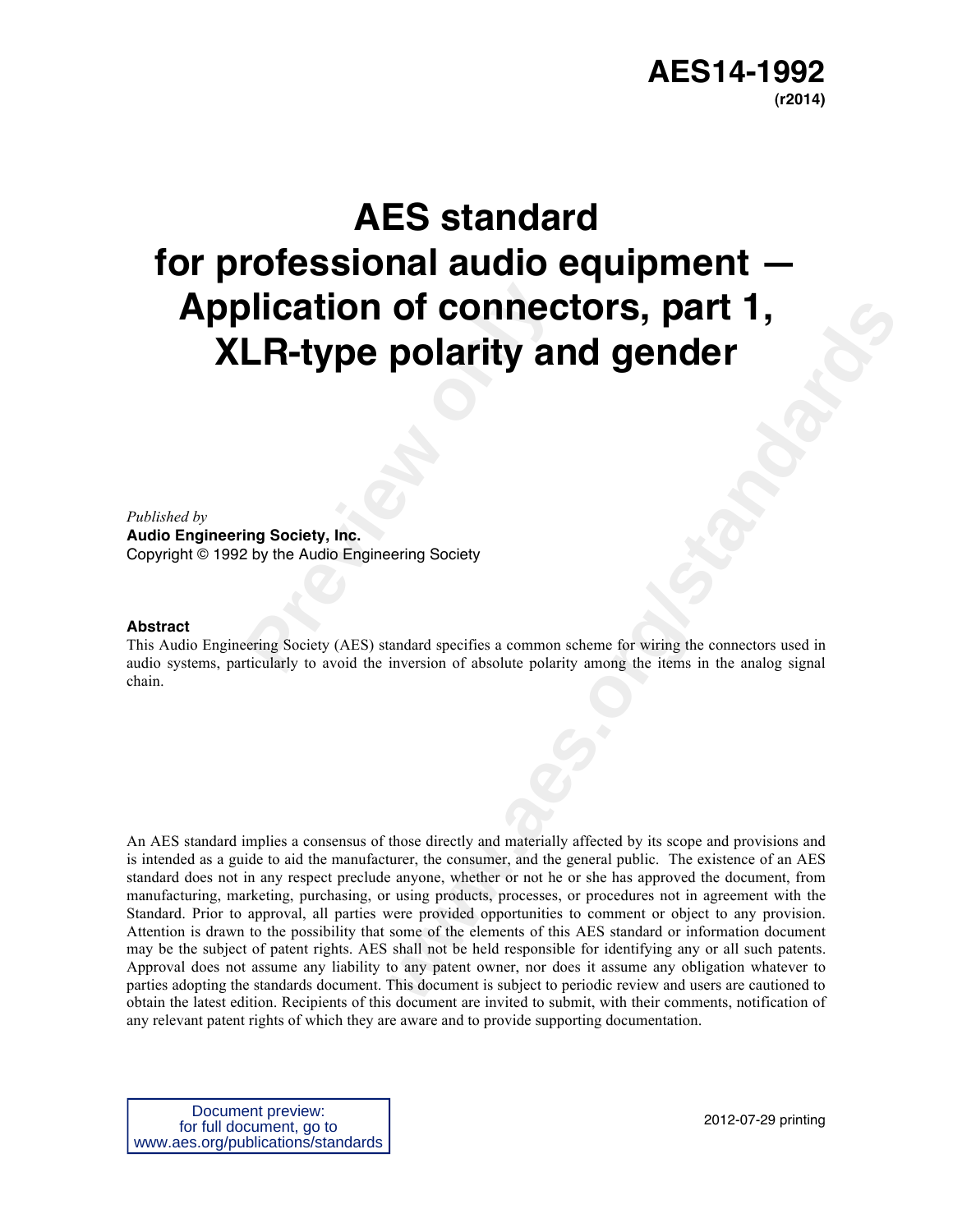# **AES14-1992 (r2014)**

# **Preficiency of connect UR-type polarity and the Audio Engineering Society<br>
Preficiency, Inc.<br>
Preview Audio Engineering Society<br>
Preview (AES) standard specifies a common<br>
preview to avoid the inversion of absolute polari AES standard for professional audio equipment — Application of connectors, part 1, XLR-type polarity and gender**

*Published by* 

**Audio Engineering Society, Inc.** Copyright © 1992 by the Audio Engineering Society

#### **Abstract**

This Audio Engineering Society (AES) standard specifies a common scheme for wiring the connectors used in audio systems, particularly to avoid the inversion of absolute polarity among the items in the analog signal chain.

**by contract to the control of the control of the control of the control of the control of the control of the control of the control of the control of the control of the control of the control of the control of the control** An AES standard implies a consensus of those directly and materially affected by its scope and provisions and is intended as a guide to aid the manufacturer, the consumer, and the general public. The existence of an AES standard does not in any respect preclude anyone, whether or not he or she has approved the document, from manufacturing, marketing, purchasing, or using products, processes, or procedures not in agreement with the Standard. Prior to approval, all parties were provided opportunities to comment or object to any provision. Attention is drawn to the possibility that some of the elements of this AES standard or information document may be the subject of patent rights. AES shall not be held responsible for identifying any or all such patents. Approval does not assume any liability to any patent owner, nor does it assume any obligation whatever to parties adopting the standards document. This document is subject to periodic review and users are cautioned to obtain the latest edition. Recipients of this document are invited to submit, with their comments, notification of any relevant patent rights of which they are aware and to provide supporting documentation.

Document preview: for full document, go to www.aes.org/publications/standards

2012-07-29 printing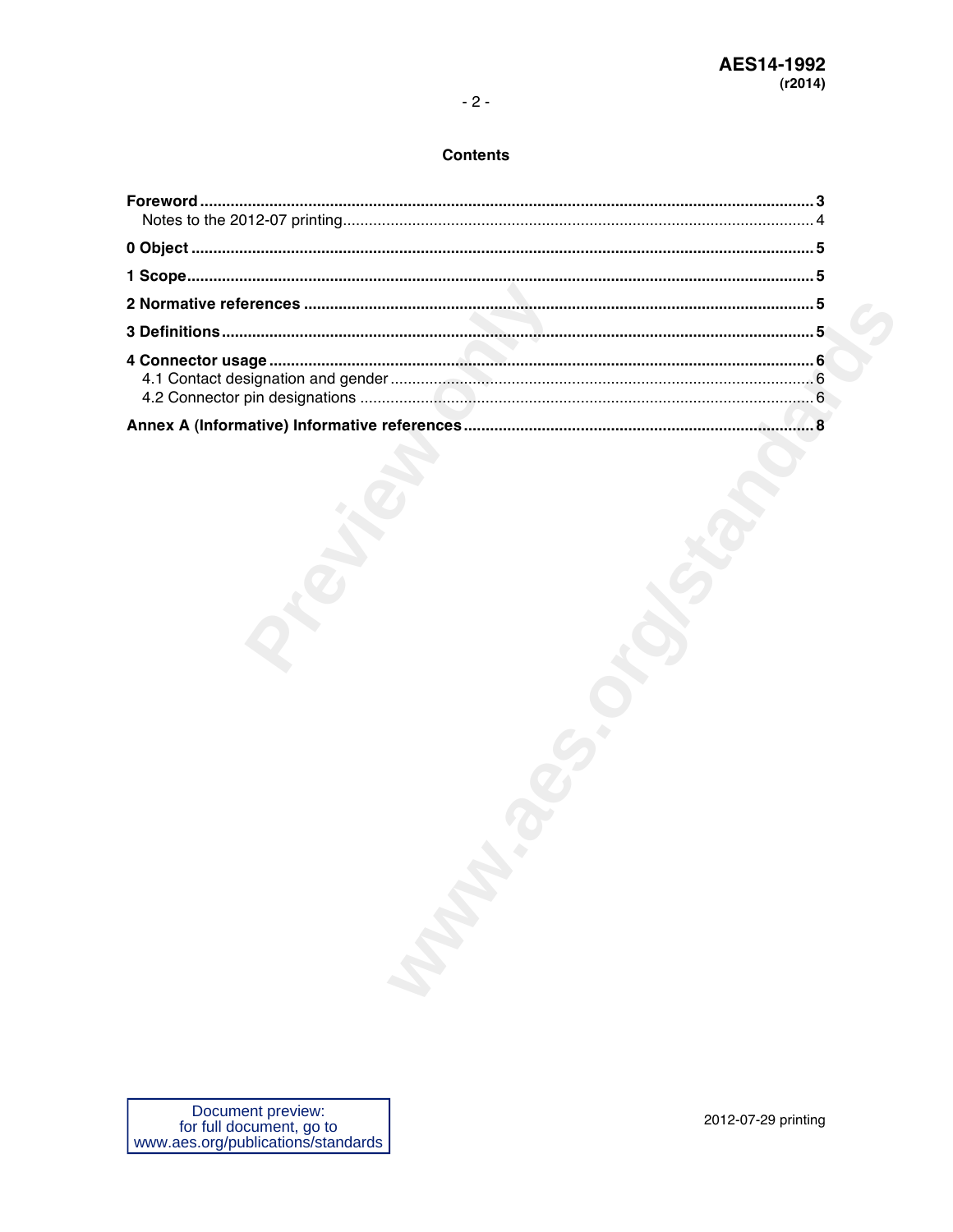# $-2-$

#### **Contents**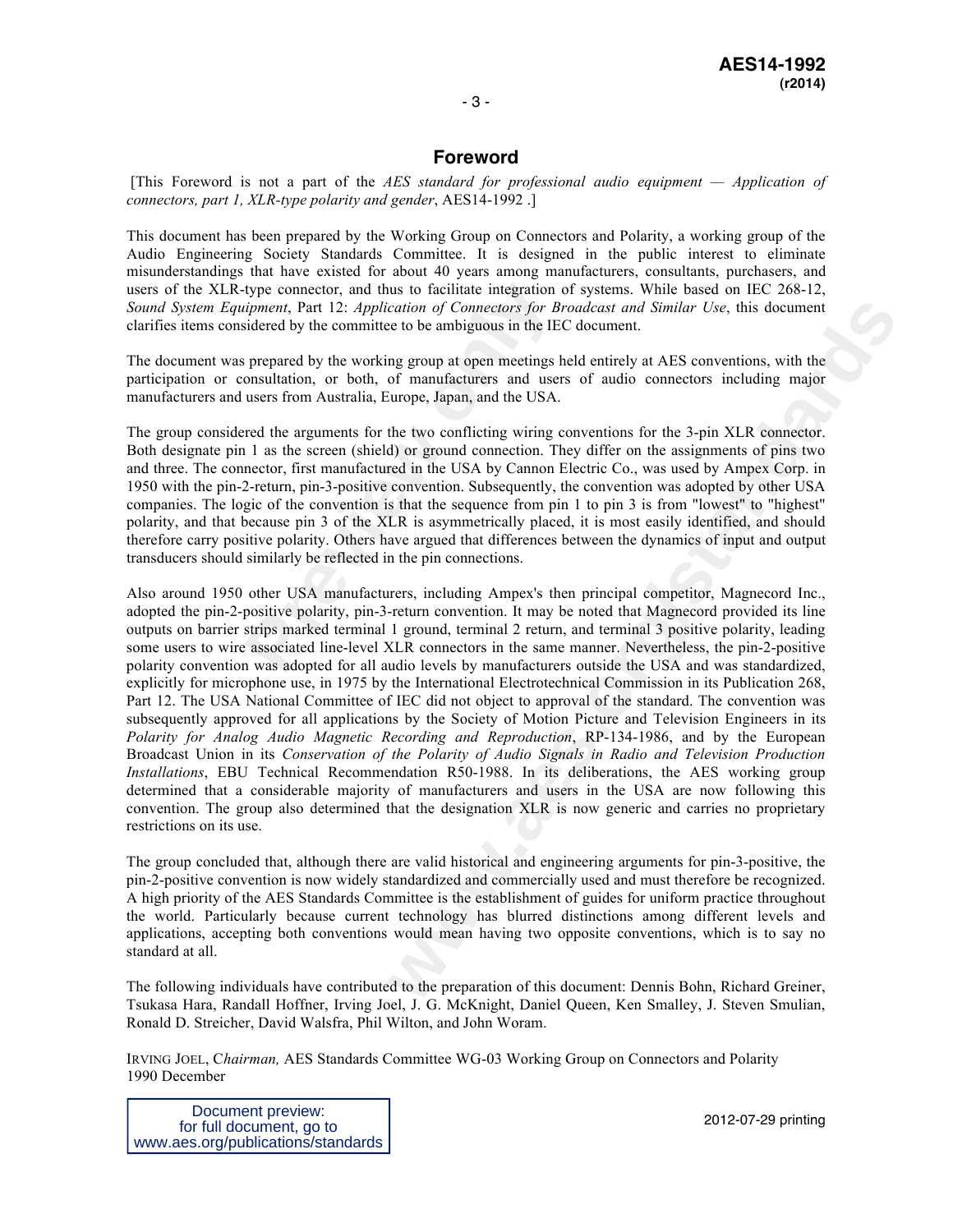### **Foreword**

[This Foreword is not a part of the *AES standard for professional audio equipment — Application of connectors, part 1, XLR-type polarity and gender*, AES14-1992 .]

This document has been prepared by the Working Group on Connectors and Polarity, a working group of the Audio Engineering Society Standards Committee. It is designed in the public interest to eliminate misunderstandings that have existed for about 40 years among manufacturers, consultants, purchasers, and users of the XLR-type connector, and thus to facilitate integration of systems. While based on IEC 268-12, *Sound System Equipment*, Part 12: *Application of Connectors for Broadcast and Similar Use*, this document clarifies items considered by the committee to be ambiguous in the IEC document.

The document was prepared by the working group at open meetings held entirely at AES conventions, with the participation or consultation, or both, of manufacturers and users of audio connectors including major manufacturers and users from Australia, Europe, Japan, and the USA.

type connector, and thus to facilitate integration *informent*, Part 12: *Application of Connectors for Bi* sidered by the committee to be ambiguous in the IE<sup>*i*</sup> prepared by the working group at open meetings *l* onsulta The group considered the arguments for the two conflicting wiring conventions for the 3-pin XLR connector. Both designate pin 1 as the screen (shield) or ground connection. They differ on the assignments of pins two and three. The connector, first manufactured in the USA by Cannon Electric Co., was used by Ampex Corp. in 1950 with the pin-2-return, pin-3-positive convention. Subsequently, the convention was adopted by other USA companies. The logic of the convention is that the sequence from pin 1 to pin 3 is from "lowest" to "highest" polarity, and that because pin 3 of the XLR is asymmetrically placed, it is most easily identified, and should therefore carry positive polarity. Others have argued that differences between the dynamics of input and output transducers should similarly be reflected in the pin connections.

cation of Connectors for *Broadcast and Similar Use*, this document<br>to the ambiguous in the IFC document.<br>
and group at ones meetings held entirely at AES conventions, with the<br>
of manifactures and users of audio connector Also around 1950 other USA manufacturers, including Ampex's then principal competitor, Magnecord Inc., adopted the pin-2-positive polarity, pin-3-return convention. It may be noted that Magnecord provided its line outputs on barrier strips marked terminal 1 ground, terminal 2 return, and terminal 3 positive polarity, leading some users to wire associated line-level XLR connectors in the same manner. Nevertheless, the pin-2-positive polarity convention was adopted for all audio levels by manufacturers outside the USA and was standardized, explicitly for microphone use, in 1975 by the International Electrotechnical Commission in its Publication 268, Part 12. The USA National Committee of IEC did not object to approval of the standard. The convention was subsequently approved for all applications by the Society of Motion Picture and Television Engineers in its *Polarity for Analog Audio Magnetic Recording and Reproduction*, RP-134-1986, and by the European Broadcast Union in its *Conservation of the Polarity of Audio Signals in Radio and Television Production Installations*, EBU Technical Recommendation R50-1988. In its deliberations, the AES working group determined that a considerable majority of manufacturers and users in the USA are now following this convention. The group also determined that the designation XLR is now generic and carries no proprietary restrictions on its use.

The group concluded that, although there are valid historical and engineering arguments for pin-3-positive, the pin-2-positive convention is now widely standardized and commercially used and must therefore be recognized. A high priority of the AES Standards Committee is the establishment of guides for uniform practice throughout the world. Particularly because current technology has blurred distinctions among different levels and applications, accepting both conventions would mean having two opposite conventions, which is to say no standard at all.

The following individuals have contributed to the preparation of this document: Dennis Bohn, Richard Greiner, Tsukasa Hara, Randall Hoffner, Irving Joel, J. G. McKnight, Daniel Queen, Ken Smalley, J. Steven Smulian, Ronald D. Streicher, David Walsfra, Phil Wilton, and John Woram.

IRVING JOEL, C*hairman,* AES Standards Committee WG-03 Working Group on Connectors and Polarity 1990 December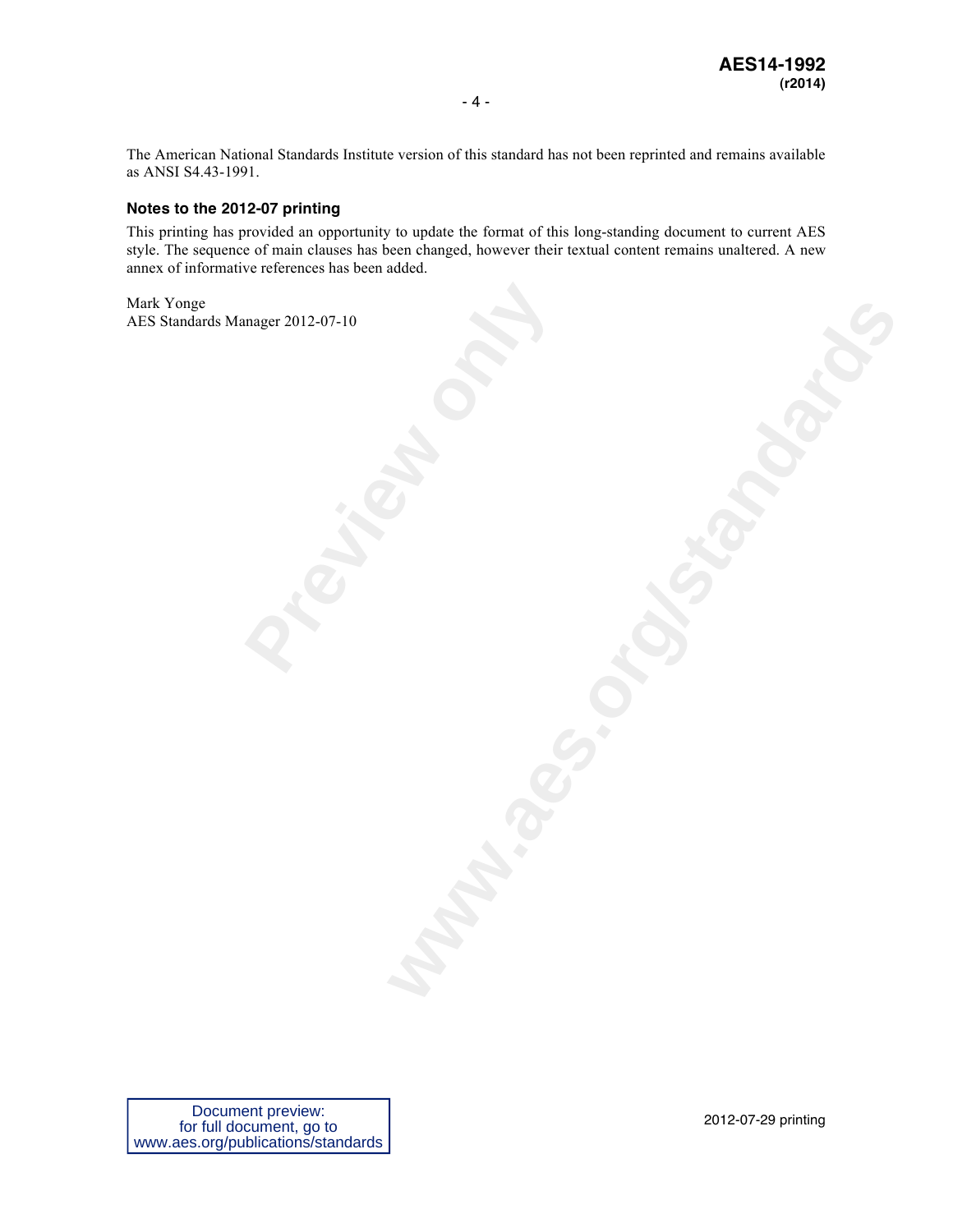The American National Standards Institute version of this standard has not been reprinted and remains available as ANSI S4.43-1991.

#### **Notes to the 2012-07 printing**

This printing has provided an opportunity to update the format of this long-standing document to current AES style. The sequence of main clauses has been changed, however their textual content remains unaltered. A new annex of informative references has been added.

**Prediction** Mark Yonge AES Standards Manager 2012-07-10